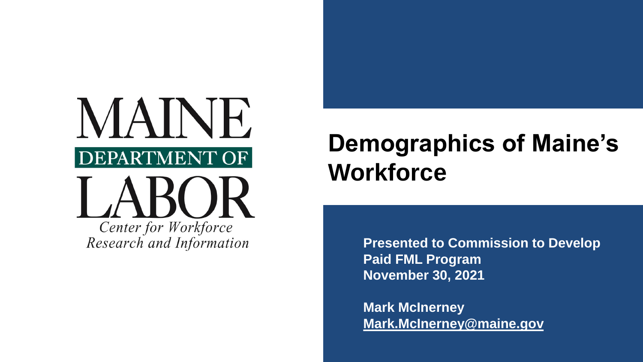

Research and Information

# **Demographics of Maine's Workforce**

**Presented to Commission to Develop Paid FML Program November 30, 2021**

**Mark McInerney [Mark.McInerney@maine.gov](mailto:Mark.McInerney@maine.gov)**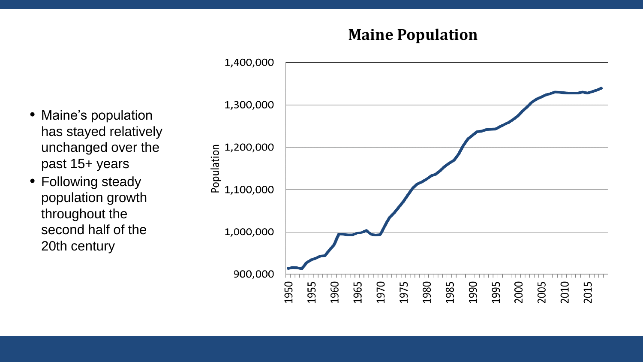## **Maine Population**

1,400,000 1,300,000 1,200,000 Population 1,100,000 1,000,000 900,000 1980 1950 1955 1960 1970 2000 2010 1965 1975 1985 1990 1995 2005 2015

- Maine's population has stayed relatively unchanged over the past 15+ years
- Following steady population growth throughout the second half of the 20th century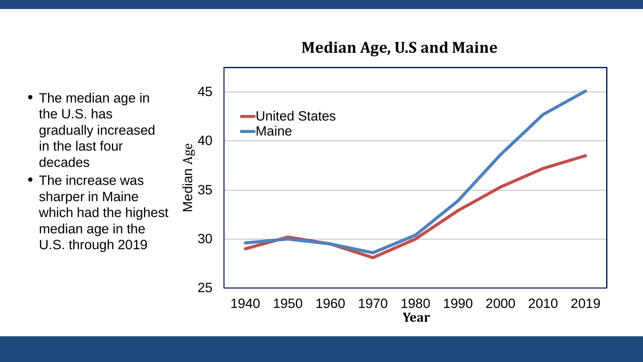### **Median Age, U.S and Maine**

- The median age in the U.S. has gradually increased in the last four decades
- The increase was sharper in Maine which had the highest median age in the U.S. through 2019

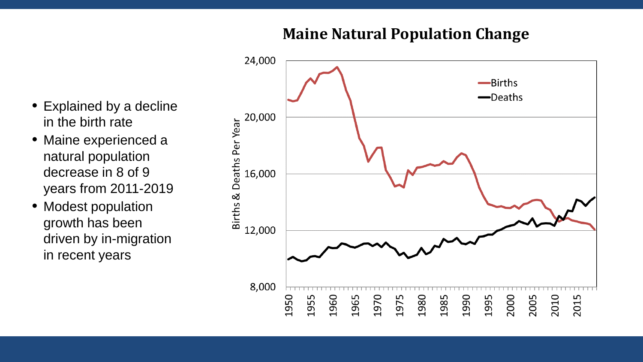## **Maine Natural Population Change**

- Explained by a decline in the birth rate
- Maine experienced a natural population decrease in 8 of 9 years from 2011-2019
- Modest population growth has been driven by in-migration in recent years

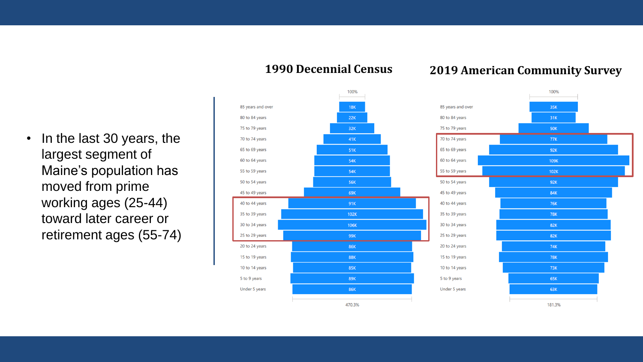100% 85 years and over  $18K$ 80 to 84 years  $22K$ 75 to 79 years  $32K$ 70 to 74 years 41K 65 to 69 years 51K 60 to 64 years **54K** 55 to 59 years **54K** 50 to 54 years **56K** 45 to 49 years 69K 40 to 44 years 91K 35 to 39 years  $102K$ 30 to 34 years 106K 25 to 29 years 99K 20 to 24 years **86K** 15 to 19 years **88K** 10 to 14 years 85K 5 to 9 years 89K Under 5 years **86K** 470.3%

#### **1990 Decennial Census 2019 American Community Survey**



• In the last 30 years, the largest segment of Maine's population has moved from prime working ages (25-44) toward later career or retirement ages (55-74)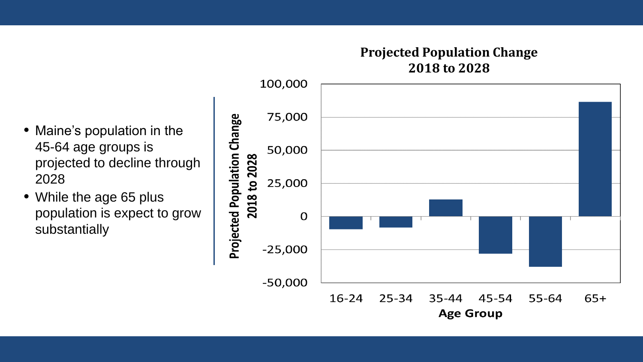#### **Projected Population Change 2018 to 2028**

- Maine's population in the 45-64 age groups is projected to decline through 2028
- While the age 65 plus population is expect to grow substantially

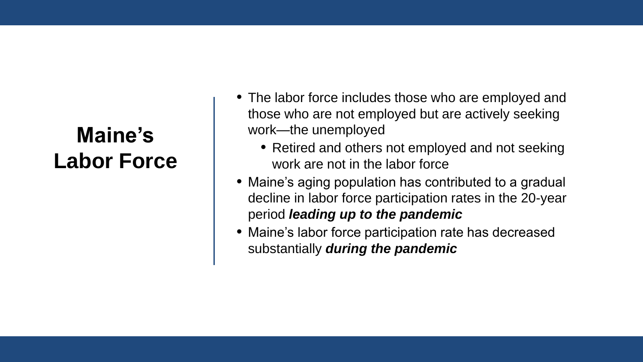# **Maine's Labor Force**

- The labor force includes those who are employed and those who are not employed but are actively seeking work—the unemployed
	- Retired and others not employed and not seeking work are not in the labor force
- Maine's aging population has contributed to a gradual decline in labor force participation rates in the 20-year period *leading up to the pandemic*
- Maine's labor force participation rate has decreased substantially *during the pandemic*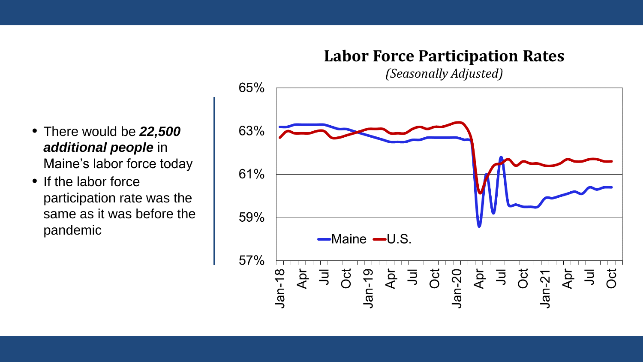## **Labor Force Participation Rates**

(Seasonally Adjusted)

- 65% 63% 61% 59% -Maine -U.S. 57%  $\frac{1}{2}$ <br>Apr<br>Jul<br>Oct  $\frac{5}{7}$   $\frac{1}{9}$   $\frac{1}{10}$   $\frac{20}{4}$   $\frac{5}{7}$   $\frac{1}{9}$   $\frac{1}{10}$  $Jan-18$  $\frac{1}{2}$  or Jan-19 Apr
- There would be *22,500 additional people* in Maine's labor force today
- If the labor force participation rate was the same as it was before the pandemic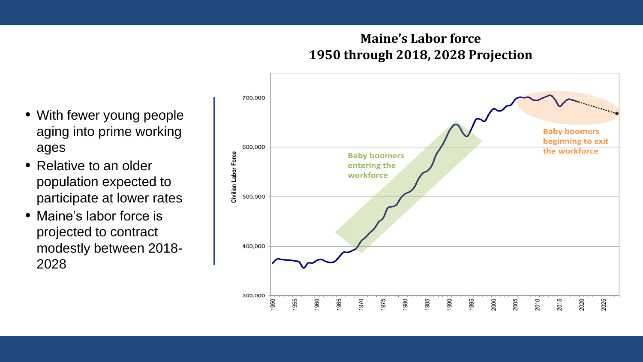#### **Maine's Labor force 1950 through 2018, 2028 Projection**

- With fewer young people aging into prime working ages
- Relative to an older population expected to participate at lower rates
- Maine's labor force is projected to contract modestly between 2018- 2028

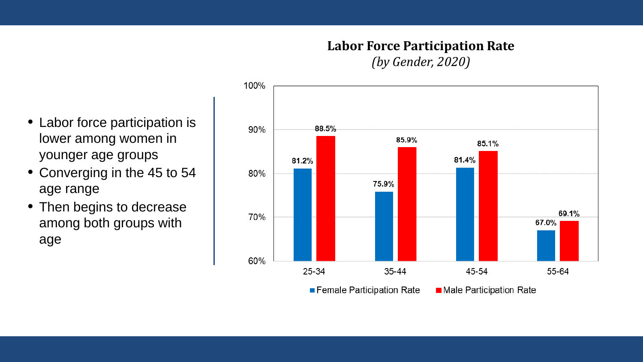## **Labor Force Participation Rate**

*(by Gender, 2020)*



- Labor force participation is lower among women in younger age groups
- Converging in the 45 to 54 age range
- Then begins to decrease among both groups with age

Female Participation Rate Male Participation Rate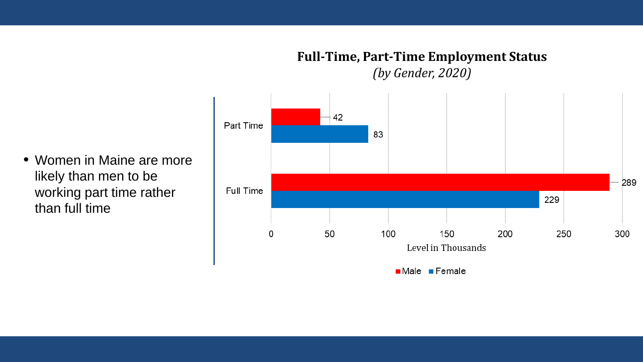#### **Full-Time, Part-Time Employment Status** *(by Gender, 2020)*

42 Part Time 83 289 Full Time 229 50 100 150 200 250 300 0 Level in Thousands  $Male$  Female

 Women in Maine are more likely than men to be working part time rather than full time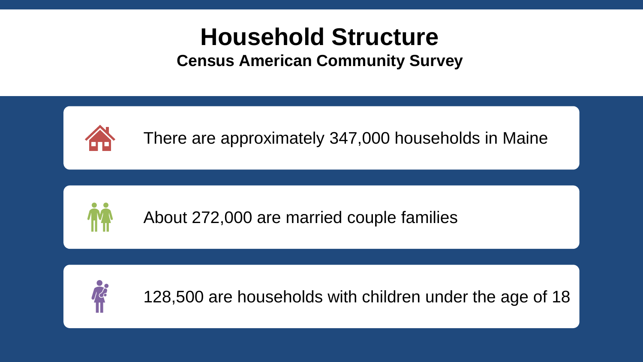# **Household Structure Census American Community Survey**



There are approximately 347,000 households in Maine



About 272,000 are married couple families



128,500 are households with children under the age of 18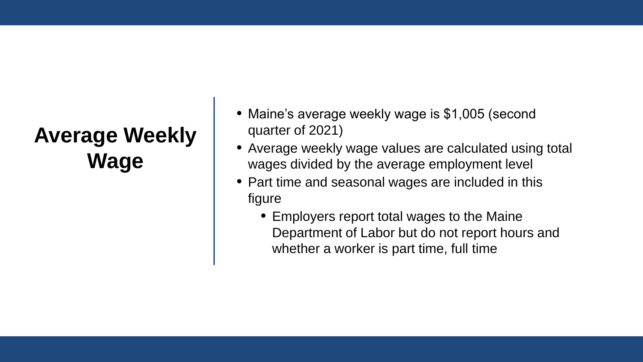# **Average Weekly Wage**

- Maine's average weekly wage is \$1,005 (second quarter of 2021)
- Average weekly wage values are calculated using total wages divided by the average employment level
- Part time and seasonal wages are included in this figure
	- Employers report total wages to the Maine Department of Labor but do not report hours and whether a worker is part time, full time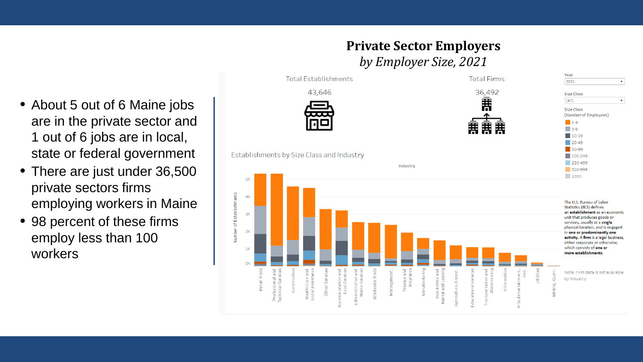**Private Sector Employers** *by Employer Size, 2021*



- About 5 out of 6 Maine jobs are in the private sector and 1 out of 6 jobs are in local, state or federal government
- There are just under 36,500 private sectors firms employing workers in Maine
- 98 percent of these firms employ less than 100 workers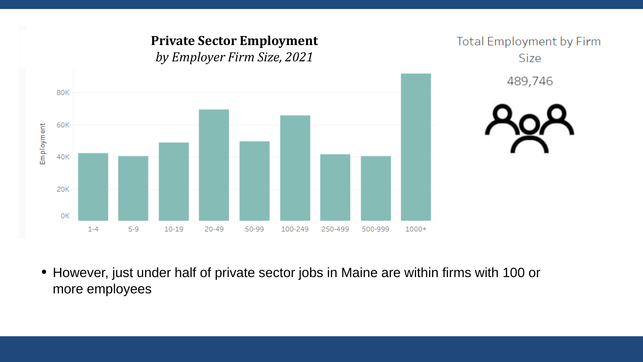

 However, just under half of private sector jobs in Maine are within firms with 100 or more employees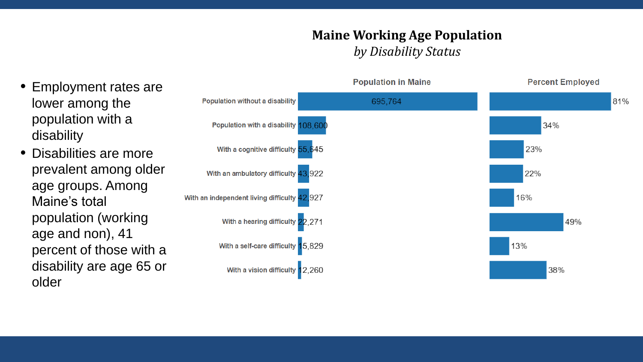#### **Maine Working Age Population**  *by Disability Status*

- Employment rates are lower among the population with a disability
- Disabilities are more prevalent among older age groups. Among Maine's total population (working age and non), 41 percent of those with a disability are age 65 or older